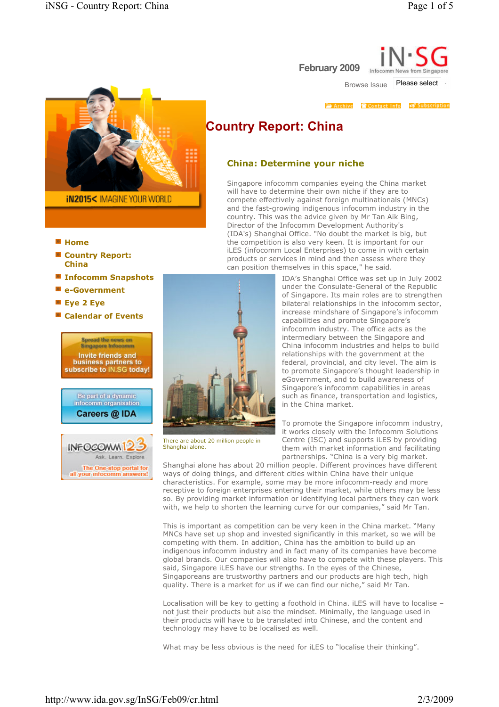

- Home
- Country Report: China
- Infocomm Snapshots
- **E** e-Government
- Eye 2 Eye
- Calendar of Events





February 2009 Infoco Browse Issue Please select

Archive Contact Info of Subscription

# Country Report: China

## China: Determine your niche

Singapore infocomm companies eyeing the China market will have to determine their own niche if they are to compete effectively against foreign multinationals (MNCs) and the fast-growing indigenous infocomm industry in the country. This was the advice given by Mr Tan Aik Bing, Director of the Infocomm Development Authority's (IDA's) Shanghai Office. "No doubt the market is big, but the competition is also very keen. It is important for our iLES (infocomm Local Enterprises) to come in with certain products or services in mind and then assess where they can position themselves in this space," he said.



To promote the Singapore infocomm industry, it works closely with the Infocomm Solutions Centre (ISC) and supports iLES by providing them with market information and facilitating partnerships. "China is a very big market.

Shanghai alone has about 20 million people. Different provinces have different ways of doing things, and different cities within China have their unique characteristics. For example, some may be more infocomm-ready and more receptive to foreign enterprises entering their market, while others may be less so. By providing market information or identifying local partners they can work with, we help to shorten the learning curve for our companies," said Mr Tan.

This is important as competition can be very keen in the China market. "Many MNCs have set up shop and invested significantly in this market, so we will be competing with them. In addition, China has the ambition to build up an indigenous infocomm industry and in fact many of its companies have become global brands. Our companies will also have to compete with these players. This said, Singapore iLES have our strengths. In the eyes of the Chinese, Singaporeans are trustworthy partners and our products are high tech, high quality. There is a market for us if we can find our niche," said Mr Tan.

Localisation will be key to getting a foothold in China. iLES will have to localise – not just their products but also the mindset. Minimally, the language used in their products will have to be translated into Chinese, and the content and technology may have to be localised as well.

What may be less obvious is the need for iLES to "localise their thinking".



There are about 20 million people in Shanghai alone.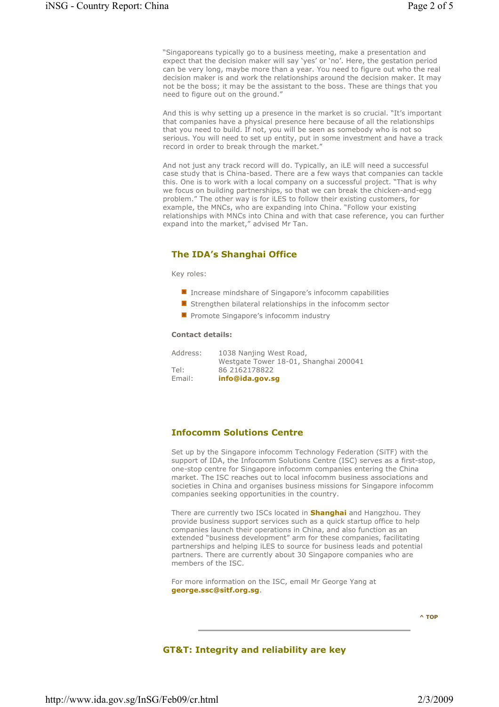"Singaporeans typically go to a business meeting, make a presentation and expect that the decision maker will say 'yes' or 'no'. Here, the gestation period can be very long, maybe more than a year. You need to figure out who the real decision maker is and work the relationships around the decision maker. It may not be the boss; it may be the assistant to the boss. These are things that you need to figure out on the ground."

And this is why setting up a presence in the market is so crucial. "It's important that companies have a physical presence here because of all the relationships that you need to build. If not, you will be seen as somebody who is not so serious. You will need to set up entity, put in some investment and have a track record in order to break through the market."

And not just any track record will do. Typically, an iLE will need a successful case study that is China-based. There are a few ways that companies can tackle this. One is to work with a local company on a successful project. "That is why we focus on building partnerships, so that we can break the chicken-and-egg problem." The other way is for iLES to follow their existing customers, for example, the MNCs, who are expanding into China. "Follow your existing relationships with MNCs into China and with that case reference, you can further expand into the market," advised Mr Tan.

# The IDA's Shanghai Office

Key roles:

- **Increase mindshare of Singapore's infocomm capabilities**
- **E** Strengthen bilateral relationships in the infocomm sector
- **Promote Singapore's infocomm industry**

## Contact details:

| Address: | 1038 Nanjing West Road,               |
|----------|---------------------------------------|
|          | Westgate Tower 18-01, Shanghai 200041 |
| Tel:     | 86 2162178822                         |
| Email:   | info@ida.gov.sq                       |

# Infocomm Solutions Centre

Set up by the Singapore infocomm Technology Federation (SiTF) with the support of IDA, the Infocomm Solutions Centre (ISC) serves as a first-stop, one-stop centre for Singapore infocomm companies entering the China market. The ISC reaches out to local infocomm business associations and societies in China and organises business missions for Singapore infocomm companies seeking opportunities in the country.

There are currently two ISCs located in **Shanghai** and Hangzhou. They provide business support services such as a quick startup office to help companies launch their operations in China, and also function as an extended "business development" arm for these companies, facilitating partnerships and helping iLES to source for business leads and potential partners. There are currently about 30 Singapore companies who are members of the ISC.

For more information on the ISC, email Mr George Yang at george.ssc@sitf.org.sg.

^ TOP

## GT&T: Integrity and reliability are key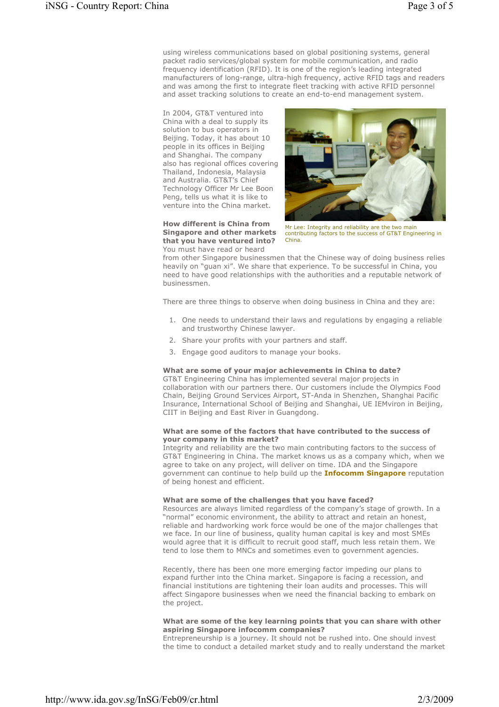using wireless communications based on global positioning systems, general packet radio services/global system for mobile communication, and radio frequency identification (RFID). It is one of the region's leading integrated manufacturers of long-range, ultra-high frequency, active RFID tags and readers and was among the first to integrate fleet tracking with active RFID personnel and asset tracking solutions to create an end-to-end management system.

In 2004, GT&T ventured into China with a deal to supply its solution to bus operators in Beijing. Today, it has about 10 people in its offices in Beijing and Shanghai. The company also has regional offices covering Thailand, Indonesia, Malaysia and Australia. GT&T's Chief Technology Officer Mr Lee Boon Peng, tells us what it is like to venture into the China market.

# How different is China from Singapore and other markets that you have ventured into?



Mr Lee: Integrity and reliability are the two main contributing factors to the success of GT&T Engineering in China.

You must have read or heard

from other Singapore businessmen that the Chinese way of doing business relies

heavily on "guan xi". We share that experience. To be successful in China, you need to have good relationships with the authorities and a reputable network of businessmen.

There are three things to observe when doing business in China and they are:

- 1. One needs to understand their laws and regulations by engaging a reliable and trustworthy Chinese lawyer.
- 2. Share your profits with your partners and staff.
- 3. Engage good auditors to manage your books.

# What are some of your major achievements in China to date?

GT&T Engineering China has implemented several major projects in collaboration with our partners there. Our customers include the Olympics Food Chain, Beijing Ground Services Airport, ST-Anda in Shenzhen, Shanghai Pacific Insurance, International School of Beijing and Shanghai, UE IEMviron in Beijing, CIIT in Beijing and East River in Guangdong.

## What are some of the factors that have contributed to the success of your company in this market?

Integrity and reliability are the two main contributing factors to the success of GT&T Engineering in China. The market knows us as a company which, when we agree to take on any project, will deliver on time. IDA and the Singapore government can continue to help build up the **Infocomm Singapore** reputation of being honest and efficient.

# What are some of the challenges that you have faced?

Resources are always limited regardless of the company's stage of growth. In a "normal" economic environment, the ability to attract and retain an honest, reliable and hardworking work force would be one of the major challenges that we face. In our line of business, quality human capital is key and most SMEs would agree that it is difficult to recruit good staff, much less retain them. We tend to lose them to MNCs and sometimes even to government agencies.

Recently, there has been one more emerging factor impeding our plans to expand further into the China market. Singapore is facing a recession, and financial institutions are tightening their loan audits and processes. This will affect Singapore businesses when we need the financial backing to embark on the project.

## What are some of the key learning points that you can share with other aspiring Singapore infocomm companies?

Entrepreneurship is a journey. It should not be rushed into. One should invest the time to conduct a detailed market study and to really understand the market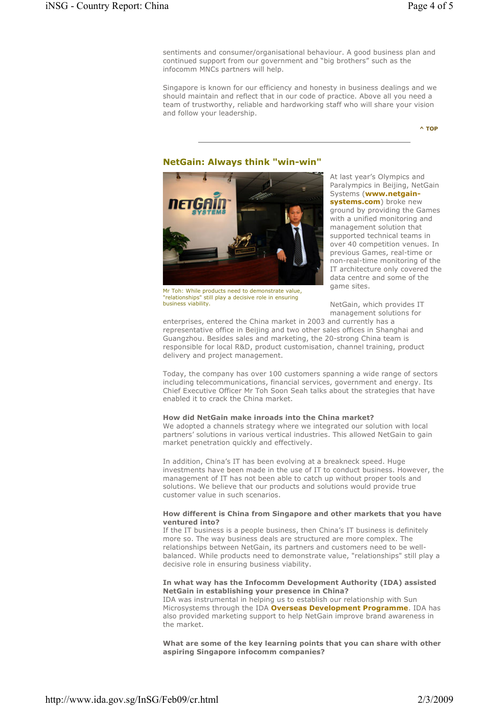sentiments and consumer/organisational behaviour. A good business plan and continued support from our government and "big brothers" such as the infocomm MNCs partners will help.

Singapore is known for our efficiency and honesty in business dealings and we should maintain and reflect that in our code of practice. Above all you need a team of trustworthy, reliable and hardworking staff who will share your vision and follow your leadership.

^ TOP

## NetGain: Always think "win-win"



Mr Toh: While products need to demonstrate value, "relationships" still play a decisive role in ensuring business viability.

At last year's Olympics and Paralympics in Beijing, NetGain Systems (www.netgainsystems.com) broke new ground by providing the Games with a unified monitoring and management solution that supported technical teams in over 40 competition venues. In previous Games, real-time or non-real-time monitoring of the IT architecture only covered the data centre and some of the game sites.

NetGain, which provides IT management solutions for

enterprises, entered the China market in 2003 and currently has a representative office in Beijing and two other sales offices in Shanghai and Guangzhou. Besides sales and marketing, the 20-strong China team is responsible for local R&D, product customisation, channel training, product delivery and project management.

Today, the company has over 100 customers spanning a wide range of sectors including telecommunications, financial services, government and energy. Its Chief Executive Officer Mr Toh Soon Seah talks about the strategies that have enabled it to crack the China market.

#### How did NetGain make inroads into the China market?

We adopted a channels strategy where we integrated our solution with local partners' solutions in various vertical industries. This allowed NetGain to gain market penetration quickly and effectively.

In addition, China's IT has been evolving at a breakneck speed. Huge investments have been made in the use of IT to conduct business. However, the management of IT has not been able to catch up without proper tools and solutions. We believe that our products and solutions would provide true customer value in such scenarios.

### How different is China from Singapore and other markets that you have ventured into?

If the IT business is a people business, then China's IT business is definitely more so. The way business deals are structured are more complex. The relationships between NetGain, its partners and customers need to be wellbalanced. While products need to demonstrate value, "relationships" still play a decisive role in ensuring business viability.

## In what way has the Infocomm Development Authority (IDA) assisted NetGain in establishing your presence in China?

IDA was instrumental in helping us to establish our relationship with Sun Microsystems through the IDA **Overseas Development Programme**. IDA has also provided marketing support to help NetGain improve brand awareness in the market.

What are some of the key learning points that you can share with other aspiring Singapore infocomm companies?